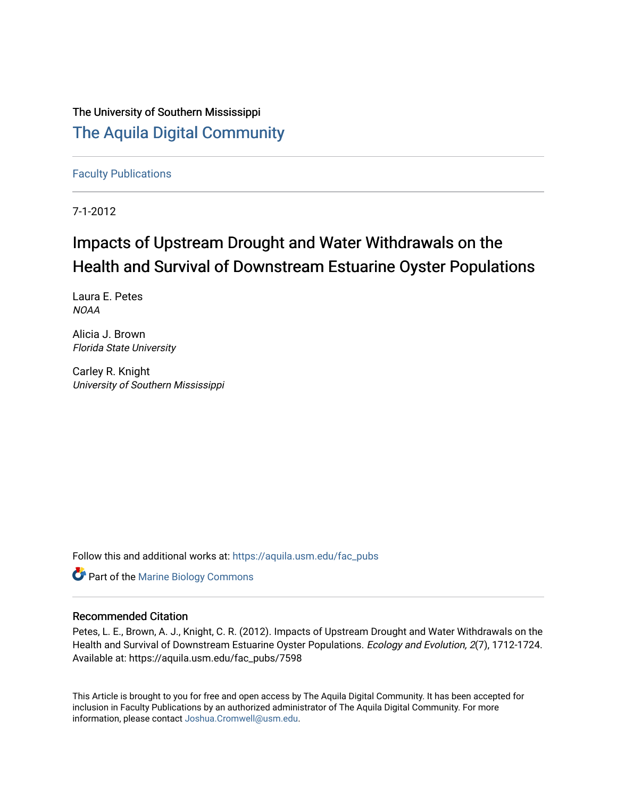The University of Southern Mississippi [The Aquila Digital Community](https://aquila.usm.edu/)

[Faculty Publications](https://aquila.usm.edu/fac_pubs)

7-1-2012

# Impacts of Upstream Drought and Water Withdrawals on the Health and Survival of Downstream Estuarine Oyster Populations

Laura E. Petes **NOAA** 

Alicia J. Brown Florida State University

Carley R. Knight University of Southern Mississippi

Follow this and additional works at: [https://aquila.usm.edu/fac\\_pubs](https://aquila.usm.edu/fac_pubs?utm_source=aquila.usm.edu%2Ffac_pubs%2F7598&utm_medium=PDF&utm_campaign=PDFCoverPages) 

**Part of the Marine Biology Commons** 

## Recommended Citation

Petes, L. E., Brown, A. J., Knight, C. R. (2012). Impacts of Upstream Drought and Water Withdrawals on the Health and Survival of Downstream Estuarine Oyster Populations. Ecology and Evolution, 2(7), 1712-1724. Available at: https://aquila.usm.edu/fac\_pubs/7598

This Article is brought to you for free and open access by The Aquila Digital Community. It has been accepted for inclusion in Faculty Publications by an authorized administrator of The Aquila Digital Community. For more information, please contact [Joshua.Cromwell@usm.edu.](mailto:Joshua.Cromwell@usm.edu)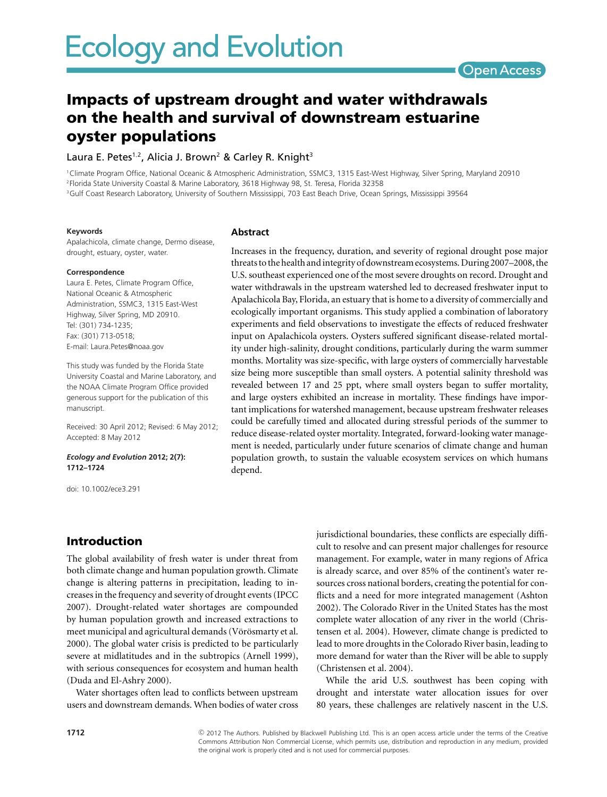## Open Access

## **Impacts of upstream drought and water withdrawals on the health and survival of downstream estuarine oyster populations**

Laura E. Petes<sup>1,2</sup>, Alicia J. Brown<sup>2</sup> & Carley R. Knight<sup>3</sup>

1Climate Program Office, National Oceanic & Atmospheric Administration, SSMC3, 1315 East-West Highway, Silver Spring, Maryland 20910 2Florida State University Coastal & Marine Laboratory, 3618 Highway 98, St. Teresa, Florida 32358 <sup>3</sup>Gulf Coast Research Laboratory, University of Southern Mississippi, 703 East Beach Drive, Ocean Springs, Mississippi 39564

#### **Keywords**

Apalachicola, climate change, Dermo disease, drought, estuary, oyster, water.

#### **Correspondence**

Laura E. Petes, Climate Program Office, National Oceanic & Atmospheric Administration, SSMC3, 1315 East-West Highway, Silver Spring, MD 20910. Tel: (301) 734-1235; Fax: (301) 713-0518; E-mail: Laura.Petes@noaa.gov

This study was funded by the Florida State University Coastal and Marine Laboratory, and the NOAA Climate Program Office provided generous support for the publication of this manuscript.

Received: 30 April 2012; Revised: 6 May 2012; Accepted: 8 May 2012

*Ecology and Evolution* **2012; 2(7): 1712–1724**

doi: 10.1002/ece3.291

#### **Abstract**

Increases in the frequency, duration, and severity of regional drought pose major threats to the health andintegrity of downstream ecosystems. During 2007–2008, the U.S. southeast experienced one of the most severe droughts on record. Drought and water withdrawals in the upstream watershed led to decreased freshwater input to Apalachicola Bay, Florida, an estuary that is home to a diversity of commercially and ecologically important organisms. This study applied a combination of laboratory experiments and field observations to investigate the effects of reduced freshwater input on Apalachicola oysters. Oysters suffered significant disease-related mortality under high-salinity, drought conditions, particularly during the warm summer months. Mortality was size-specific, with large oysters of commercially harvestable size being more susceptible than small oysters. A potential salinity threshold was revealed between 17 and 25 ppt, where small oysters began to suffer mortality, and large oysters exhibited an increase in mortality. These findings have important implications for watershed management, because upstream freshwater releases could be carefully timed and allocated during stressful periods of the summer to reduce disease-related oyster mortality. Integrated, forward-looking water management is needed, particularly under future scenarios of climate change and human population growth, to sustain the valuable ecosystem services on which humans depend.

### **Introduction**

The global availability of fresh water is under threat from both climate change and human population growth. Climate change is altering patterns in precipitation, leading to increases in the frequency and severity of drought events (IPCC 2007). Drought-related water shortages are compounded by human population growth and increased extractions to meet municipal and agricultural demands (Vörösmarty et al. 2000). The global water crisis is predicted to be particularly severe at midlatitudes and in the subtropics (Arnell 1999), with serious consequences for ecosystem and human health (Duda and El-Ashry 2000).

Water shortages often lead to conflicts between upstream users and downstream demands. When bodies of water cross jurisdictional boundaries, these conflicts are especially difficult to resolve and can present major challenges for resource management. For example, water in many regions of Africa is already scarce, and over 85% of the continent's water resources cross national borders, creating the potential for conflicts and a need for more integrated management (Ashton 2002). The Colorado River in the United States has the most complete water allocation of any river in the world (Christensen et al. 2004). However, climate change is predicted to lead to more droughts in the Colorado River basin, leading to more demand for water than the River will be able to supply (Christensen et al. 2004).

While the arid U.S. southwest has been coping with drought and interstate water allocation issues for over 80 years, these challenges are relatively nascent in the U.S.

c 2012 The Authors. Published by Blackwell Publishing Ltd. This is an open access article under the terms of the Creative Commons Attribution Non Commercial License, which permits use, distribution and reproduction in any medium, provided the original work is properly cited and is not used for commercial purposes.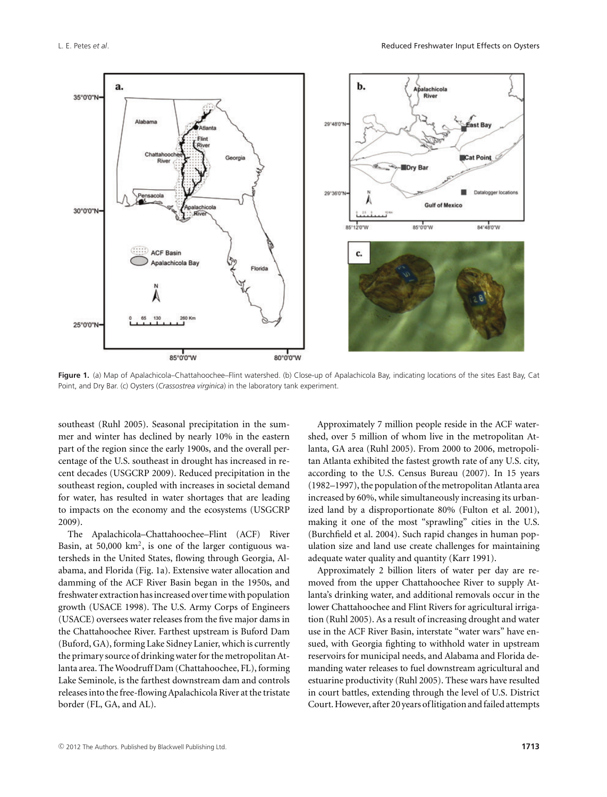

**Figure 1.** (a) Map of Apalachicola–Chattahoochee–Flint watershed. (b) Close-up of Apalachicola Bay, indicating locations of the sites East Bay, Cat Point, and Dry Bar. (c) Oysters (*Crassostrea virginica*) in the laboratory tank experiment.

southeast (Ruhl 2005). Seasonal precipitation in the summer and winter has declined by nearly 10% in the eastern part of the region since the early 1900s, and the overall percentage of the U.S. southeast in drought has increased in recent decades (USGCRP 2009). Reduced precipitation in the southeast region, coupled with increases in societal demand for water, has resulted in water shortages that are leading to impacts on the economy and the ecosystems (USGCRP 2009).

The Apalachicola–Chattahoochee–Flint (ACF) River Basin, at  $50,000 \text{ km}^2$ , is one of the larger contiguous watersheds in the United States, flowing through Georgia, Alabama, and Florida (Fig. 1a). Extensive water allocation and damming of the ACF River Basin began in the 1950s, and freshwater extraction has increased over timewith population growth (USACE 1998). The U.S. Army Corps of Engineers (USACE) oversees water releases from the five major dams in the Chattahoochee River. Farthest upstream is Buford Dam (Buford, GA), forming Lake Sidney Lanier, which is currently the primary source of drinking water for the metropolitan Atlanta area. TheWoodruff Dam (Chattahoochee, FL), forming Lake Seminole, is the farthest downstream dam and controls releases into the free-flowing Apalachicola River at the tristate border (FL, GA, and AL).

Approximately 7 million people reside in the ACF watershed, over 5 million of whom live in the metropolitan Atlanta, GA area (Ruhl 2005). From 2000 to 2006, metropolitan Atlanta exhibited the fastest growth rate of any U.S. city, according to the U.S. Census Bureau (2007). In 15 years (1982–1997), the population of the metropolitan Atlanta area increased by 60%, while simultaneously increasing its urbanized land by a disproportionate 80% (Fulton et al. 2001), making it one of the most "sprawling" cities in the U.S. (Burchfield et al. 2004). Such rapid changes in human population size and land use create challenges for maintaining adequate water quality and quantity (Karr 1991).

Approximately 2 billion liters of water per day are removed from the upper Chattahoochee River to supply Atlanta's drinking water, and additional removals occur in the lower Chattahoochee and Flint Rivers for agricultural irrigation (Ruhl 2005). As a result of increasing drought and water use in the ACF River Basin, interstate "water wars" have ensued, with Georgia fighting to withhold water in upstream reservoirs for municipal needs, and Alabama and Florida demanding water releases to fuel downstream agricultural and estuarine productivity (Ruhl 2005). These wars have resulted in court battles, extending through the level of U.S. District Court. However, after 20 years of litigation and failed attempts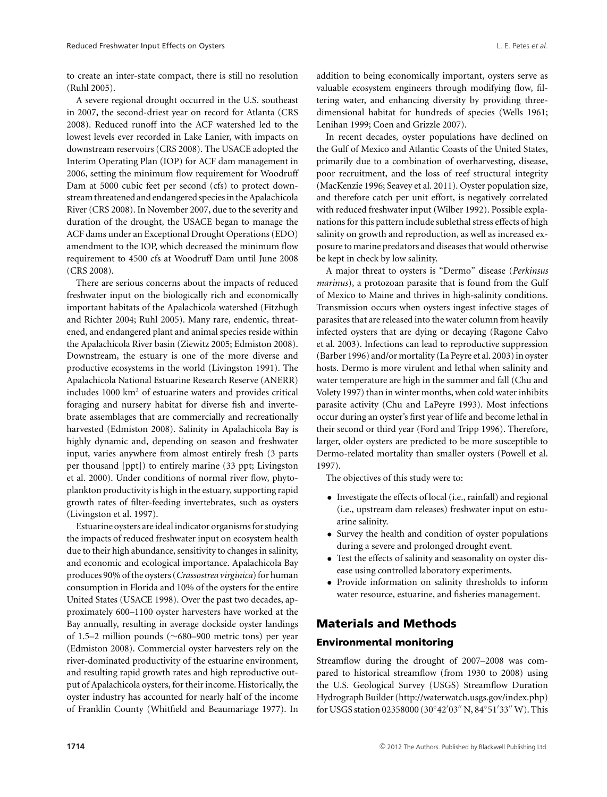to create an inter-state compact, there is still no resolution (Ruhl 2005).

A severe regional drought occurred in the U.S. southeast in 2007, the second-driest year on record for Atlanta (CRS 2008). Reduced runoff into the ACF watershed led to the lowest levels ever recorded in Lake Lanier, with impacts on downstream reservoirs (CRS 2008). The USACE adopted the Interim Operating Plan (IOP) for ACF dam management in 2006, setting the minimum flow requirement for Woodruff Dam at 5000 cubic feet per second (cfs) to protect downstream threatened and endangered speciesin the Apalachicola River (CRS 2008). In November 2007, due to the severity and duration of the drought, the USACE began to manage the ACF dams under an Exceptional Drought Operations (EDO) amendment to the IOP, which decreased the minimum flow requirement to 4500 cfs at Woodruff Dam until June 2008 (CRS 2008).

There are serious concerns about the impacts of reduced freshwater input on the biologically rich and economically important habitats of the Apalachicola watershed (Fitzhugh and Richter 2004; Ruhl 2005). Many rare, endemic, threatened, and endangered plant and animal species reside within the Apalachicola River basin (Ziewitz 2005; Edmiston 2008). Downstream, the estuary is one of the more diverse and productive ecosystems in the world (Livingston 1991). The Apalachicola National Estuarine Research Reserve (ANERR) includes  $1000 \text{ km}^2$  of estuarine waters and provides critical foraging and nursery habitat for diverse fish and invertebrate assemblages that are commercially and recreationally harvested (Edmiston 2008). Salinity in Apalachicola Bay is highly dynamic and, depending on season and freshwater input, varies anywhere from almost entirely fresh (3 parts per thousand [ppt]) to entirely marine (33 ppt; Livingston et al. 2000). Under conditions of normal river flow, phytoplankton productivity is high in the estuary, supporting rapid growth rates of filter-feeding invertebrates, such as oysters (Livingston et al. 1997).

Estuarine oysters are ideal indicator organisms for studying the impacts of reduced freshwater input on ecosystem health due to their high abundance, sensitivity to changes in salinity, and economic and ecological importance. Apalachicola Bay produces 90% of the oysters (*Crassostrea virginica*) for human consumption in Florida and 10% of the oysters for the entire United States (USACE 1998). Over the past two decades, approximately 600–1100 oyster harvesters have worked at the Bay annually, resulting in average dockside oyster landings of 1.5–2 million pounds (∼680–900 metric tons) per year (Edmiston 2008). Commercial oyster harvesters rely on the river-dominated productivity of the estuarine environment, and resulting rapid growth rates and high reproductive output of Apalachicola oysters, for their income. Historically, the oyster industry has accounted for nearly half of the income of Franklin County (Whitfield and Beaumariage 1977). In

addition to being economically important, oysters serve as valuable ecosystem engineers through modifying flow, filtering water, and enhancing diversity by providing threedimensional habitat for hundreds of species (Wells 1961; Lenihan 1999; Coen and Grizzle 2007).

In recent decades, oyster populations have declined on the Gulf of Mexico and Atlantic Coasts of the United States, primarily due to a combination of overharvesting, disease, poor recruitment, and the loss of reef structural integrity (MacKenzie 1996; Seavey et al. 2011). Oyster population size, and therefore catch per unit effort, is negatively correlated with reduced freshwater input (Wilber 1992). Possible explanations for this pattern include sublethal stress effects of high salinity on growth and reproduction, as well as increased exposure to marine predators and diseases that would otherwise be kept in check by low salinity.

A major threat to oysters is "Dermo" disease (*Perkinsus marinus*), a protozoan parasite that is found from the Gulf of Mexico to Maine and thrives in high-salinity conditions. Transmission occurs when oysters ingest infective stages of parasites that are released into the water column from heavily infected oysters that are dying or decaying (Ragone Calvo et al. 2003). Infections can lead to reproductive suppression (Barber 1996) and/or mortality (La Peyre et al. 2003) in oyster hosts. Dermo is more virulent and lethal when salinity and water temperature are high in the summer and fall (Chu and Volety 1997) than in winter months, when cold water inhibits parasite activity (Chu and LaPeyre 1993). Most infections occur during an oyster's first year of life and become lethal in their second or third year (Ford and Tripp 1996). Therefore, larger, older oysters are predicted to be more susceptible to Dermo-related mortality than smaller oysters (Powell et al. 1997).

The objectives of this study were to:

- Investigate the effects of local (i.e., rainfall) and regional (i.e., upstream dam releases) freshwater input on estuarine salinity.
- Survey the health and condition of oyster populations during a severe and prolonged drought event.
- Test the effects of salinity and seasonality on oyster disease using controlled laboratory experiments.
- Provide information on salinity thresholds to inform water resource, estuarine, and fisheries management.

## **Materials and Methods**

#### **Environmental monitoring**

Streamflow during the drought of 2007–2008 was compared to historical streamflow (from 1930 to 2008) using the U.S. Geological Survey (USGS) Streamflow Duration Hydrograph Builder (http://waterwatch.usgs.gov/index.php) for USGS station 02358000 (30°42′03″ N, 84°51′33″ W). This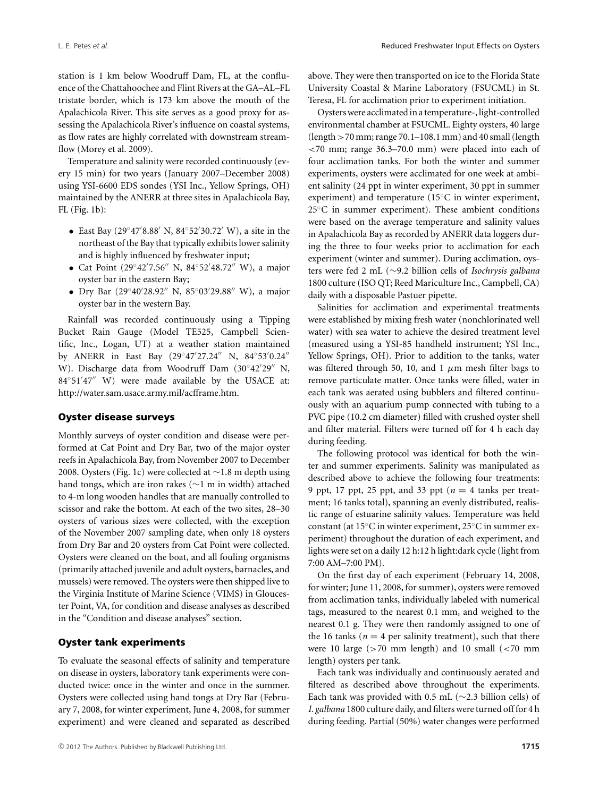station is 1 km below Woodruff Dam, FL, at the confluence of the Chattahoochee and Flint Rivers at the GA–AL–FL tristate border, which is 173 km above the mouth of the Apalachicola River. This site serves as a good proxy for assessing the Apalachicola River's influence on coastal systems, as flow rates are highly correlated with downstream streamflow (Morey et al. 2009).

Temperature and salinity were recorded continuously (every 15 min) for two years (January 2007–December 2008) using YSI-6600 EDS sondes (YSI Inc., Yellow Springs, OH) maintained by the ANERR at three sites in Apalachicola Bay, FL (Fig. 1b):

- East Bay (29°47′8.88′ N, 84°52′30.72′ W), a site in the northeast of the Bay that typically exhibits lower salinity and is highly influenced by freshwater input;
- Cat Point  $(29°42'7.56'' \text{ N}, 84°52'48.72'' \text{ W})$ , a major oyster bar in the eastern Bay;
- Dry Bar (29°40′28.92″ N, 85°03′29.88″ W), a major oyster bar in the western Bay.

Rainfall was recorded continuously using a Tipping Bucket Rain Gauge (Model TE525, Campbell Scientific, Inc., Logan, UT) at a weather station maintained by ANERR in East Bay (29°47′27.24″ N, 84°53′0.24″ W). Discharge data from Woodruff Dam (30°42′29″N, 84°51′47″ W) were made available by the USACE at: http://water.sam.usace.army.mil/acfframe.htm.

#### **Oyster disease surveys**

Monthly surveys of oyster condition and disease were performed at Cat Point and Dry Bar, two of the major oyster reefs in Apalachicola Bay, from November 2007 to December 2008. Oysters (Fig. 1c) were collected at ∼1.8 m depth using hand tongs, which are iron rakes (∼1 m in width) attached to 4-m long wooden handles that are manually controlled to scissor and rake the bottom. At each of the two sites, 28–30 oysters of various sizes were collected, with the exception of the November 2007 sampling date, when only 18 oysters from Dry Bar and 20 oysters from Cat Point were collected. Oysters were cleaned on the boat, and all fouling organisms (primarily attached juvenile and adult oysters, barnacles, and mussels) were removed. The oysters were then shipped live to the Virginia Institute of Marine Science (VIMS) in Gloucester Point, VA, for condition and disease analyses as described in the "Condition and disease analyses" section.

#### **Oyster tank experiments**

To evaluate the seasonal effects of salinity and temperature on disease in oysters, laboratory tank experiments were conducted twice: once in the winter and once in the summer. Oysters were collected using hand tongs at Dry Bar (February 7, 2008, for winter experiment, June 4, 2008, for summer experiment) and were cleaned and separated as described above. They were then transported on ice to the Florida State University Coastal & Marine Laboratory (FSUCML) in St. Teresa, FL for acclimation prior to experiment initiation.

Oysters were acclimated in a temperature-, light-controlled environmental chamber at FSUCML. Eighty oysters, 40 large (length >70 mm; range 70.1–108.1 mm) and 40 small (length <70 mm; range 36.3–70.0 mm) were placed into each of four acclimation tanks. For both the winter and summer experiments, oysters were acclimated for one week at ambient salinity (24 ppt in winter experiment, 30 ppt in summer experiment) and temperature (15◦C in winter experiment, 25℃ in summer experiment). These ambient conditions were based on the average temperature and salinity values in Apalachicola Bay as recorded by ANERR data loggers during the three to four weeks prior to acclimation for each experiment (winter and summer). During acclimation, oysters were fed 2 mL (∼9.2 billion cells of *Isochrysis galbana* 1800 culture (ISO QT; Reed Mariculture Inc., Campbell, CA) daily with a disposable Pastuer pipette.

Salinities for acclimation and experimental treatments were established by mixing fresh water (nonchlorinated well water) with sea water to achieve the desired treatment level (measured using a YSI-85 handheld instrument; YSI Inc., Yellow Springs, OH). Prior to addition to the tanks, water was filtered through 50, 10, and 1  $\mu$ m mesh filter bags to remove particulate matter. Once tanks were filled, water in each tank was aerated using bubblers and filtered continuously with an aquarium pump connected with tubing to a PVC pipe (10.2 cm diameter) filled with crushed oyster shell and filter material. Filters were turned off for 4 h each day during feeding.

The following protocol was identical for both the winter and summer experiments. Salinity was manipulated as described above to achieve the following four treatments: 9 ppt, 17 ppt, 25 ppt, and 33 ppt (*n* = 4 tanks per treatment; 16 tanks total), spanning an evenly distributed, realistic range of estuarine salinity values. Temperature was held constant (at 15◦C in winter experiment, 25◦C in summer experiment) throughout the duration of each experiment, and lights were set on a daily 12 h:12 h light:dark cycle (light from 7:00 AM–7:00 PM).

On the first day of each experiment (February 14, 2008, for winter; June 11, 2008, for summer), oysters were removed from acclimation tanks, individually labeled with numerical tags, measured to the nearest 0.1 mm, and weighed to the nearest 0.1 g. They were then randomly assigned to one of the 16 tanks ( $n = 4$  per salinity treatment), such that there were 10 large (>70 mm length) and 10 small (<70 mm length) oysters per tank.

Each tank was individually and continuously aerated and filtered as described above throughout the experiments. Each tank was provided with 0.5 mL (∼2.3 billion cells) of *I. galbana* 1800 culture daily, and filters were turned off for 4 h during feeding. Partial (50%) water changes were performed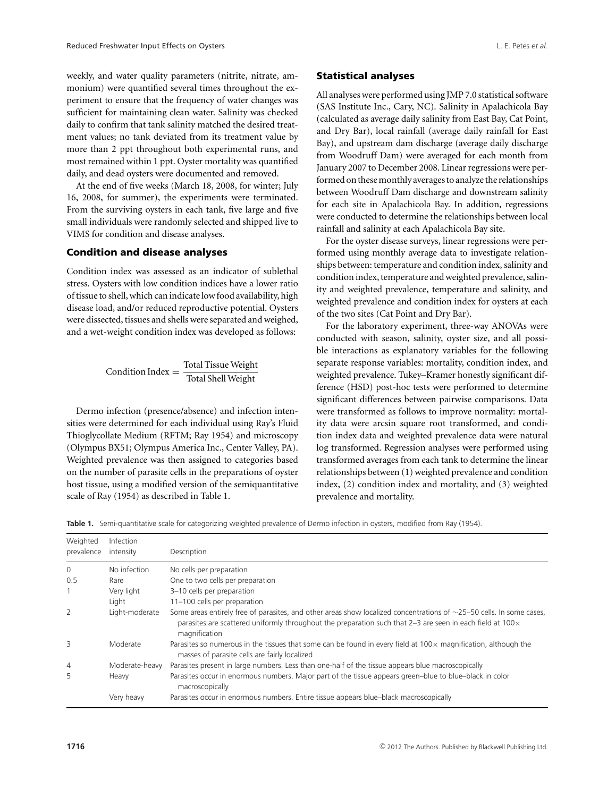weekly, and water quality parameters (nitrite, nitrate, ammonium) were quantified several times throughout the experiment to ensure that the frequency of water changes was sufficient for maintaining clean water. Salinity was checked daily to confirm that tank salinity matched the desired treatment values; no tank deviated from its treatment value by more than 2 ppt throughout both experimental runs, and most remained within 1 ppt. Oyster mortality was quantified daily, and dead oysters were documented and removed.

At the end of five weeks (March 18, 2008, for winter; July 16, 2008, for summer), the experiments were terminated. From the surviving oysters in each tank, five large and five small individuals were randomly selected and shipped live to VIMS for condition and disease analyses.

#### **Condition and disease analyses**

Condition index was assessed as an indicator of sublethal stress. Oysters with low condition indices have a lower ratio of tissue to shell, which can indicate lowfood availability, high disease load, and/or reduced reproductive potential. Oysters were dissected, tissues and shells were separated and weighed, and a wet-weight condition index was developed as follows:

$$
Condition Index = \frac{Total Tissue Weight}{Total Shell Weight}
$$

Dermo infection (presence/absence) and infection intensities were determined for each individual using Ray's Fluid Thioglycollate Medium (RFTM; Ray 1954) and microscopy (Olympus BX51; Olympus America Inc., Center Valley, PA). Weighted prevalence was then assigned to categories based on the number of parasite cells in the preparations of oyster host tissue, using a modified version of the semiquantitative scale of Ray (1954) as described in Table 1.

All analyses were performed using JMP 7.0 statistical software (SAS Institute Inc., Cary, NC). Salinity in Apalachicola Bay (calculated as average daily salinity from East Bay, Cat Point, and Dry Bar), local rainfall (average daily rainfall for East Bay), and upstream dam discharge (average daily discharge from Woodruff Dam) were averaged for each month from January 2007 to December 2008. Linear regressions were performed on thesemonthly averages to analyze the relationships between Woodruff Dam discharge and downstream salinity for each site in Apalachicola Bay. In addition, regressions were conducted to determine the relationships between local rainfall and salinity at each Apalachicola Bay site.

For the oyster disease surveys, linear regressions were performed using monthly average data to investigate relationships between: temperature and condition index, salinity and condition index, temperature and weighted prevalence, salinity and weighted prevalence, temperature and salinity, and weighted prevalence and condition index for oysters at each of the two sites (Cat Point and Dry Bar).

For the laboratory experiment, three-way ANOVAs were conducted with season, salinity, oyster size, and all possible interactions as explanatory variables for the following separate response variables: mortality, condition index, and weighted prevalence. Tukey–Kramer honestly significant difference (HSD) post-hoc tests were performed to determine significant differences between pairwise comparisons. Data were transformed as follows to improve normality: mortality data were arcsin square root transformed, and condition index data and weighted prevalence data were natural log transformed. Regression analyses were performed using transformed averages from each tank to determine the linear relationships between (1) weighted prevalence and condition index, (2) condition index and mortality, and (3) weighted prevalence and mortality.

**Table 1.** Semi-quantitative scale for categorizing weighted prevalence of Dermo infection in oysters, modified from Ray (1954).

| Weighted<br>prevalence | <b>Infection</b><br>intensity | Description                                                                                                                                                                                                                                                        |
|------------------------|-------------------------------|--------------------------------------------------------------------------------------------------------------------------------------------------------------------------------------------------------------------------------------------------------------------|
| 0                      | No infection                  | No cells per preparation                                                                                                                                                                                                                                           |
| 0.5                    | Rare                          | One to two cells per preparation                                                                                                                                                                                                                                   |
| 1                      | Very light                    | 3-10 cells per preparation                                                                                                                                                                                                                                         |
|                        | Light                         | 11-100 cells per preparation                                                                                                                                                                                                                                       |
| 2                      | Light-moderate                | Some areas entirely free of parasites, and other areas show localized concentrations of $\sim$ 25–50 cells. In some cases,<br>parasites are scattered uniformly throughout the preparation such that $2-3$ are seen in each field at $100 \times$<br>magnification |
| 3                      | Moderate                      | Parasites so numerous in the tissues that some can be found in every field at $100 \times$ magnification, although the<br>masses of parasite cells are fairly localized                                                                                            |
| $\overline{4}$         | Moderate-heavy                | Parasites present in large numbers. Less than one-half of the tissue appears blue macroscopically                                                                                                                                                                  |
| 5                      | Heavy                         | Parasites occur in enormous numbers. Major part of the tissue appears green-blue to blue-black in color<br>macroscopically                                                                                                                                         |
|                        | Very heavy                    | Parasites occur in enormous numbers. Entire tissue appears blue-black macroscopically                                                                                                                                                                              |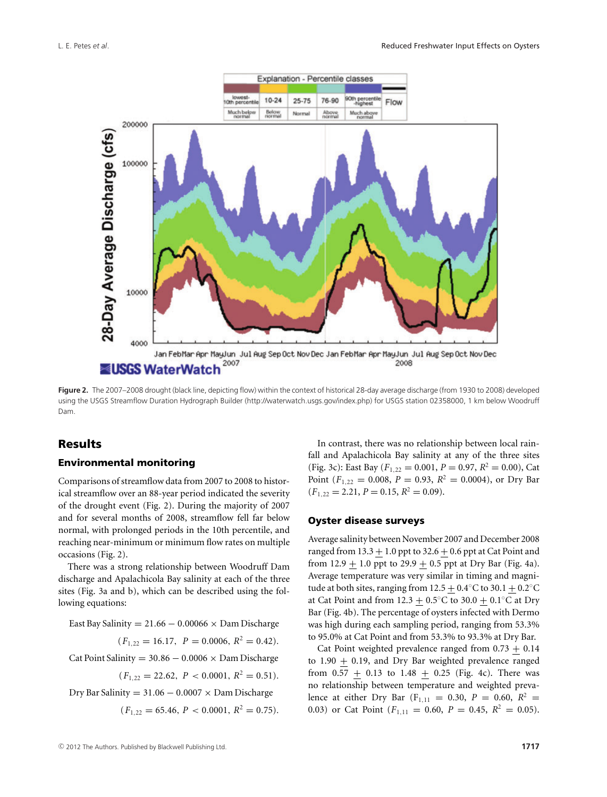

**Figure 2.** The 2007–2008 drought (black line, depicting flow) within the context of historical 28-day average discharge (from 1930 to 2008) developed using the USGS Streamflow Duration Hydrograph Builder (http://waterwatch.usgs.gov/index.php) for USGS station 02358000, 1 km below Woodruff Dam.

## **Results**

#### **Environmental monitoring**

Comparisons of streamflow data from 2007 to 2008 to historical streamflow over an 88-year period indicated the severity of the drought event (Fig. 2). During the majority of 2007 and for several months of 2008, streamflow fell far below normal, with prolonged periods in the 10th percentile, and reaching near-minimum or minimum flow rates on multiple occasions (Fig. 2).

There was a strong relationship between Woodruff Dam discharge and Apalachicola Bay salinity at each of the three sites (Fig. 3a and b), which can be described using the following equations:

East Bay Salinity =  $21.66 - 0.00066 \times$  Dam Discharge

$$
(F_{1,22} = 16.17, \ P = 0.0006, R^2 = 0.42).
$$

Cat Point Salinity =  $30.86 - 0.0006 \times$  Dam Discharge

 $(F_{1,22} = 22.62, P < 0.0001, R^2 = 0.51).$ 

Dry Bar Salinity =  $31.06 - 0.0007 \times$  Dam Discharge

$$
(F_{1,22}=65.46,\,P<0.0001,\,R^2=0.75).
$$

In contrast, there was no relationship between local rainfall and Apalachicola Bay salinity at any of the three sites (Fig. 3c): East Bay ( $F_{1,22} = 0.001$ ,  $P = 0.97$ ,  $R^2 = 0.00$ ), Cat Point ( $F_{1,22} = 0.008$ ,  $P = 0.93$ ,  $R^2 = 0.0004$ ), or Dry Bar  $(F_{1,22} = 2.21, P = 0.15, R^2 = 0.09).$ 

#### **Oyster disease surveys**

Average salinity between November 2007 and December 2008 ranged from  $13.3 + 1.0$  ppt to  $32.6 + 0.6$  ppt at Cat Point and from  $12.9 + 1.0$  ppt to  $29.9 + 0.5$  ppt at Dry Bar (Fig. 4a). Average temperature was very similar in timing and magnitude at both sites, ranging from  $12.5 + 0.4°C$  to  $30.1 + 0.2°C$ at Cat Point and from 12.3  $\pm$  0.5°C to 30.0 + 0.1°C at Dry Bar (Fig. 4b). The percentage of oysters infected with Dermo was high during each sampling period, ranging from 53.3% to 95.0% at Cat Point and from 53.3% to 93.3% at Dry Bar.

Cat Point weighted prevalence ranged from  $0.73 + 0.14$ to 1.90  $\pm$  0.19, and Dry Bar weighted prevalence ranged from 0.57  $+$  0.13 to 1.48  $+$  0.25 (Fig. 4c). There was no relationship between temperature and weighted prevalence at either Dry Bar (F<sub>1,11</sub> = 0.30,  $P = 0.60$ ,  $R^2 =$ 0.03) or Cat Point  $(F_{1,11} = 0.60, P = 0.45, R^2 = 0.05)$ .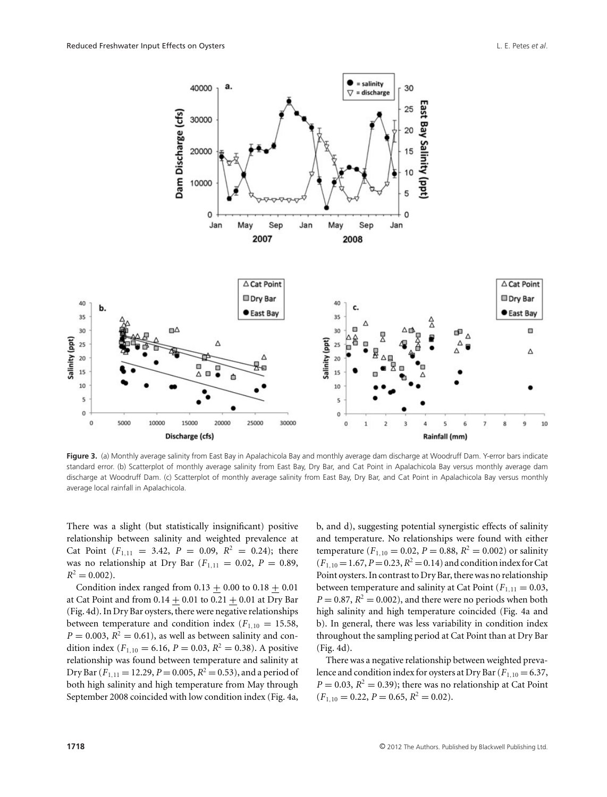

Figure 3. (a) Monthly average salinity from East Bay in Apalachicola Bay and monthly average dam discharge at Woodruff Dam. Y-error bars indicate standard error. (b) Scatterplot of monthly average salinity from East Bay, Dry Bar, and Cat Point in Apalachicola Bay versus monthly average dam discharge at Woodruff Dam. (c) Scatterplot of monthly average salinity from East Bay, Dry Bar, and Cat Point in Apalachicola Bay versus monthly average local rainfall in Apalachicola.

There was a slight (but statistically insignificant) positive relationship between salinity and weighted prevalence at Cat Point  $(F_{1,11} = 3.42, P = 0.09, R^2 = 0.24)$ ; there was no relationship at Dry Bar  $(F_{1,11} = 0.02, P = 0.89,$  $R^2 = 0.002$ .

Condition index ranged from  $0.13 + 0.00$  to  $0.18 + 0.01$ at Cat Point and from  $0.14 \pm 0.01$  to  $0.21 + 0.01$  at Dry Bar (Fig. 4d). In Dry Bar oysters, there were negative relationships between temperature and condition index  $(F_{1,10} = 15.58,$  $P = 0.003$ ,  $R^2 = 0.61$ ), as well as between salinity and condition index ( $F_{1,10} = 6.16$ ,  $P = 0.03$ ,  $R^2 = 0.38$ ). A positive relationship was found between temperature and salinity at Dry Bar ( $F_{1,11}$  = 12.29,  $P$  = 0.005,  $R^2$  = 0.53), and a period of both high salinity and high temperature from May through September 2008 coincided with low condition index (Fig. 4a, b, and d), suggesting potential synergistic effects of salinity and temperature. No relationships were found with either temperature ( $F_{1,10} = 0.02$ ,  $P = 0.88$ ,  $R^2 = 0.002$ ) or salinity  $(F_{1,10} = 1.67, P = 0.23, R^2 = 0.14)$  and condition index for Cat Point oysters. In contrast to Dry Bar, there was no relationship between temperature and salinity at Cat Point  $(F_{1,11} = 0.03,$  $P = 0.87$ ,  $R^2 = 0.002$ ), and there were no periods when both high salinity and high temperature coincided (Fig. 4a and b). In general, there was less variability in condition index throughout the sampling period at Cat Point than at Dry Bar (Fig. 4d).

There was a negative relationship between weighted prevalence and condition index for oysters at Dry Bar  $(F_{1,10} = 6.37,$  $P = 0.03$ ,  $R<sup>2</sup> = 0.39$ ); there was no relationship at Cat Point  $(F_{1,10} = 0.22, P = 0.65, R^2 = 0.02).$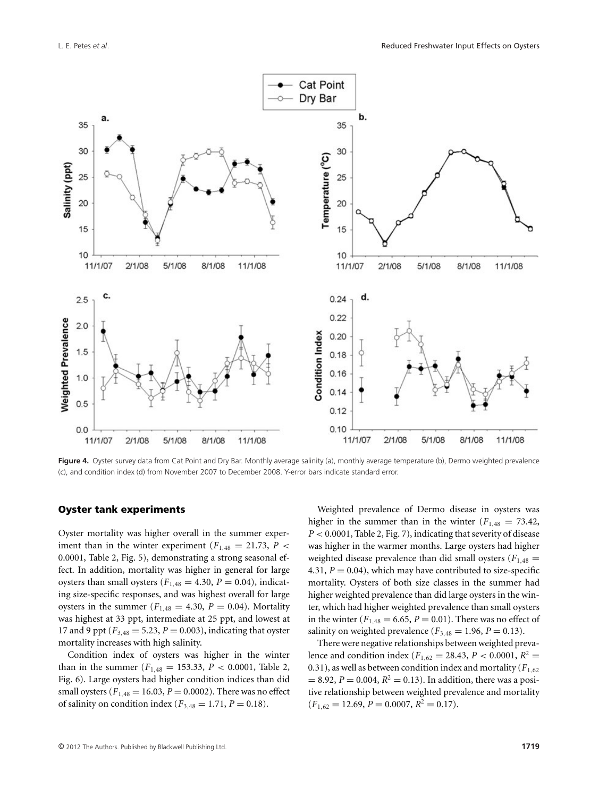

Figure 4. Oyster survey data from Cat Point and Dry Bar. Monthly average salinity (a), monthly average temperature (b), Dermo weighted prevalence (c), and condition index (d) from November 2007 to December 2008. Y-error bars indicate standard error.

#### **Oyster tank experiments**

Oyster mortality was higher overall in the summer experiment than in the winter experiment ( $F_{1,48} = 21.73$ ,  $P <$ 0.0001, Table 2, Fig. 5), demonstrating a strong seasonal effect. In addition, mortality was higher in general for large oysters than small oysters ( $F_{1,48} = 4.30$ ,  $P = 0.04$ ), indicating size-specific responses, and was highest overall for large oysters in the summer  $(F_{1,48} = 4.30, P = 0.04)$ . Mortality was highest at 33 ppt, intermediate at 25 ppt, and lowest at 17 and 9 ppt ( $F_{3,48} = 5.23, P = 0.003$ ), indicating that oyster mortality increases with high salinity.

Condition index of oysters was higher in the winter than in the summer ( $F_{1,48} = 153.33, P < 0.0001$ , Table 2, Fig. 6). Large oysters had higher condition indices than did small oysters ( $F_{1,48} = 16.03, P = 0.0002$ ). There was no effect of salinity on condition index ( $F_{3,48} = 1.71, P = 0.18$ ).

Weighted prevalence of Dermo disease in oysters was higher in the summer than in the winter  $(F_{1,48} = 73.42,$ *P* < 0.0001, Table 2, Fig. 7), indicating that severity of disease was higher in the warmer months. Large oysters had higher weighted disease prevalence than did small oysters  $(F_{1,48} =$ 4.31,  $P = 0.04$ ), which may have contributed to size-specific mortality. Oysters of both size classes in the summer had higher weighted prevalence than did large oysters in the winter, which had higher weighted prevalence than small oysters in the winter ( $F_{1,48} = 6.65, P = 0.01$ ). There was no effect of salinity on weighted prevalence  $(F_{3,48} = 1.96, P = 0.13)$ .

There were negative relationships between weighted prevalence and condition index ( $F_{1,62} = 28.43$ ,  $P < 0.0001$ ,  $R^2 =$ 0.31), as well as between condition index and mortality ( $F_{1,62}$ )  $= 8.92, P = 0.004, R<sup>2</sup> = 0.13$ . In addition, there was a positive relationship between weighted prevalence and mortality  $(F_{1,62} = 12.69, P = 0.0007, R^2 = 0.17).$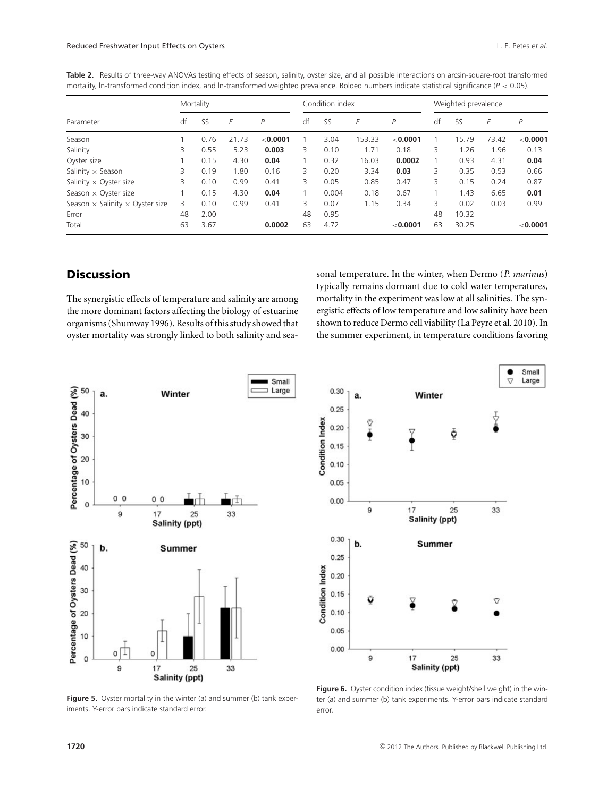|                                               | Mortality |           |       |          | Condition index |           |        |          | Weighted prevalence |           |       |          |
|-----------------------------------------------|-----------|-----------|-------|----------|-----------------|-----------|--------|----------|---------------------|-----------|-------|----------|
| Parameter                                     | df        | <b>SS</b> | F     | P        | df              | <b>SS</b> | F      | P        | df                  | <b>SS</b> | F     | P        |
| Season                                        |           | 0.76      | 21.73 | < 0.0001 |                 | 3.04      | 153.33 | < 0.0001 |                     | 15.79     | 73.42 | < 0.0001 |
| Salinity                                      | 3         | 0.55      | 5.23  | 0.003    | 3.              | 0.10      | 1.71   | 0.18     | 3                   | 1.26      | 1.96  | 0.13     |
| Oyster size                                   |           | 0.15      | 4.30  | 0.04     |                 | 0.32      | 16.03  | 0.0002   |                     | 0.93      | 4.31  | 0.04     |
| Salinity $\times$ Season                      | 3         | 0.19      | 1.80  | 0.16     | 3               | 0.20      | 3.34   | 0.03     | 3                   | 0.35      | 0.53  | 0.66     |
| Salinity $\times$ Oyster size                 | 3         | 0.10      | 0.99  | 0.41     | 3               | 0.05      | 0.85   | 0.47     | 3                   | 0.15      | 0.24  | 0.87     |
| Season $\times$ Oyster size                   |           | 0.15      | 4.30  | 0.04     |                 | 0.004     | 0.18   | 0.67     |                     | 1.43      | 6.65  | 0.01     |
| Season $\times$ Salinity $\times$ Oyster size | 3         | 0.10      | 0.99  | 0.41     | 3               | 0.07      | 1.15   | 0.34     | 3                   | 0.02      | 0.03  | 0.99     |
| Error                                         | 48        | 2.00      |       |          | 48              | 0.95      |        |          | 48                  | 10.32     |       |          |
| Total                                         | 63        | 3.67      |       | 0.0002   | 63              | 4.72      |        | < 0.0001 | 63                  | 30.25     |       | < 0.0001 |

Table 2. Results of three-way ANOVAs testing effects of season, salinity, oyster size, and all possible interactions on arcsin-square-root transformed mortality, ln-transformed condition index, and ln-transformed weighted prevalence. Bolded numbers indicate statistical significance (*P* < 0.05).

## **Discussion**

The synergistic effects of temperature and salinity are among the more dominant factors affecting the biology of estuarine organisms (Shumway 1996). Results of this study showed that oyster mortality was strongly linked to both salinity and seasonal temperature. In the winter, when Dermo (*P. marinus*) typically remains dormant due to cold water temperatures, mortality in the experiment was low at all salinities. The synergistic effects of low temperature and low salinity have been shown to reduce Dermo cell viability (La Peyre et al. 2010). In the summer experiment, in temperature conditions favoring



Small Large  $\triangledown$ 0.30 a. Winter  $0.25$ **Condition Index** Ť  $0.20$ Y ŏ ě  $0.15$  $0.10$  $0.05$  $0.00$ 9 33 17 25 Salinity (ppt)  $0.30$ b. Summer  $0.25$ **Condition Index**  $0.20$  $0.15$ ũ Ω  $0.10$ 0.05  $0.00$ 9  $17$ 25 33 **Salinity (ppt)** 

**Figure 5.** Oyster mortality in the winter (a) and summer (b) tank experiments. Y-error bars indicate standard error.

Figure 6. Oyster condition index (tissue weight/shell weight) in the winter (a) and summer (b) tank experiments. Y-error bars indicate standard error.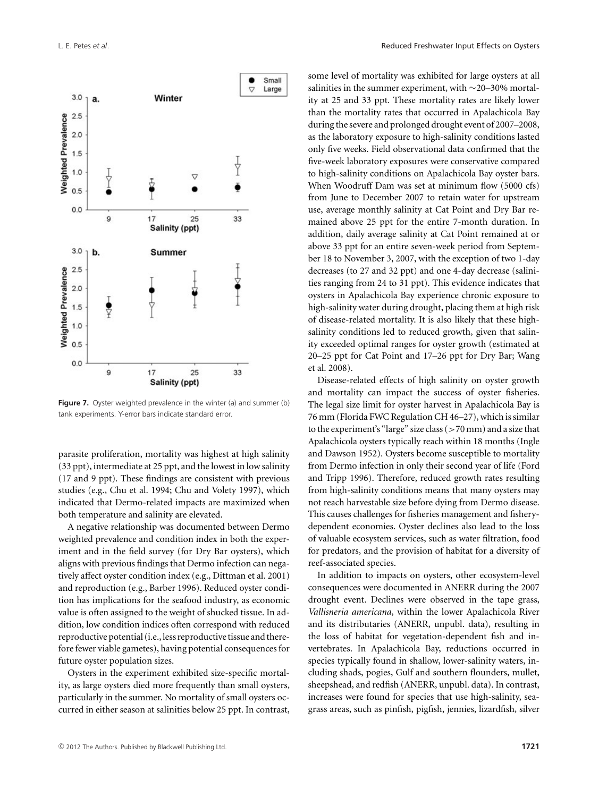

**Figure 7.** Oyster weighted prevalence in the winter (a) and summer (b) tank experiments. Y-error bars indicate standard error.

parasite proliferation, mortality was highest at high salinity (33 ppt), intermediate at 25 ppt, and the lowest in low salinity (17 and 9 ppt). These findings are consistent with previous studies (e.g., Chu et al. 1994; Chu and Volety 1997), which indicated that Dermo-related impacts are maximized when both temperature and salinity are elevated.

A negative relationship was documented between Dermo weighted prevalence and condition index in both the experiment and in the field survey (for Dry Bar oysters), which aligns with previous findings that Dermo infection can negatively affect oyster condition index (e.g., Dittman et al. 2001) and reproduction (e.g., Barber 1996). Reduced oyster condition has implications for the seafood industry, as economic value is often assigned to the weight of shucked tissue. In addition, low condition indices often correspond with reduced reproductive potential (i.e., less reproductive tissue and therefore fewer viable gametes), having potential consequences for future oyster population sizes.

Oysters in the experiment exhibited size-specific mortality, as large oysters died more frequently than small oysters, particularly in the summer. No mortality of small oysters occurred in either season at salinities below 25 ppt. In contrast, some level of mortality was exhibited for large oysters at all salinities in the summer experiment, with ∼20–30% mortality at 25 and 33 ppt. These mortality rates are likely lower than the mortality rates that occurred in Apalachicola Bay during the severe and prolonged drought event of 2007–2008, as the laboratory exposure to high-salinity conditions lasted only five weeks. Field observational data confirmed that the five-week laboratory exposures were conservative compared to high-salinity conditions on Apalachicola Bay oyster bars. When Woodruff Dam was set at minimum flow (5000 cfs) from June to December 2007 to retain water for upstream use, average monthly salinity at Cat Point and Dry Bar remained above 25 ppt for the entire 7-month duration. In addition, daily average salinity at Cat Point remained at or above 33 ppt for an entire seven-week period from September 18 to November 3, 2007, with the exception of two 1-day decreases (to 27 and 32 ppt) and one 4-day decrease (salinities ranging from 24 to 31 ppt). This evidence indicates that oysters in Apalachicola Bay experience chronic exposure to high-salinity water during drought, placing them at high risk of disease-related mortality. It is also likely that these highsalinity conditions led to reduced growth, given that salinity exceeded optimal ranges for oyster growth (estimated at 20–25 ppt for Cat Point and 17–26 ppt for Dry Bar; Wang et al. 2008).

Disease-related effects of high salinity on oyster growth and mortality can impact the success of oyster fisheries. The legal size limit for oyster harvest in Apalachicola Bay is 76 mm (Florida FWC Regulation CH 46–27), which is similar to the experiment's "large" size class (>70 mm) and a size that Apalachicola oysters typically reach within 18 months (Ingle and Dawson 1952). Oysters become susceptible to mortality from Dermo infection in only their second year of life (Ford and Tripp 1996). Therefore, reduced growth rates resulting from high-salinity conditions means that many oysters may not reach harvestable size before dying from Dermo disease. This causes challenges for fisheries management and fisherydependent economies. Oyster declines also lead to the loss of valuable ecosystem services, such as water filtration, food for predators, and the provision of habitat for a diversity of reef-associated species.

In addition to impacts on oysters, other ecosystem-level consequences were documented in ANERR during the 2007 drought event. Declines were observed in the tape grass, *Vallisneria americana*, within the lower Apalachicola River and its distributaries (ANERR, unpubl. data), resulting in the loss of habitat for vegetation-dependent fish and invertebrates. In Apalachicola Bay, reductions occurred in species typically found in shallow, lower-salinity waters, including shads, pogies, Gulf and southern flounders, mullet, sheepshead, and redfish (ANERR, unpubl. data). In contrast, increases were found for species that use high-salinity, seagrass areas, such as pinfish, pigfish, jennies, lizardfish, silver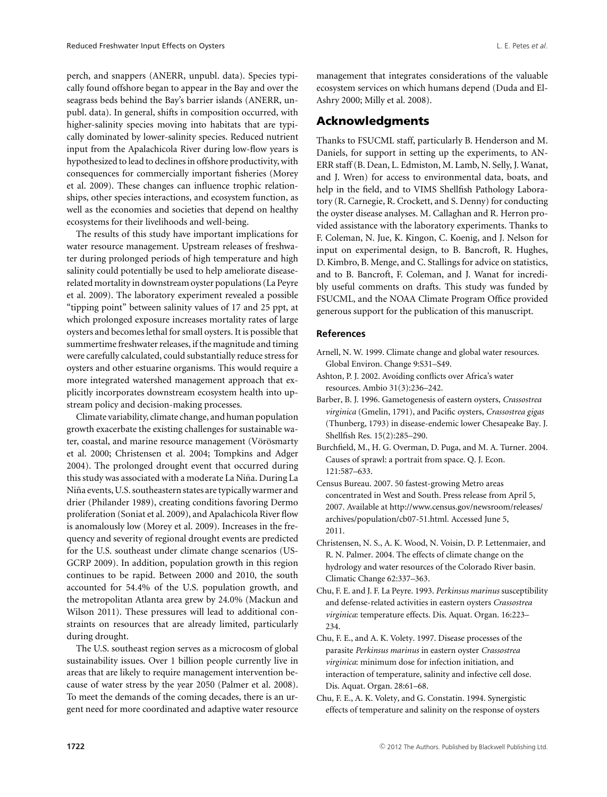perch, and snappers (ANERR, unpubl. data). Species typically found offshore began to appear in the Bay and over the seagrass beds behind the Bay's barrier islands (ANERR, unpubl. data). In general, shifts in composition occurred, with higher-salinity species moving into habitats that are typically dominated by lower-salinity species. Reduced nutrient input from the Apalachicola River during low-flow years is hypothesized to lead to declines in offshore productivity, with consequences for commercially important fisheries (Morey et al. 2009). These changes can influence trophic relationships, other species interactions, and ecosystem function, as well as the economies and societies that depend on healthy ecosystems for their livelihoods and well-being.

The results of this study have important implications for water resource management. Upstream releases of freshwater during prolonged periods of high temperature and high salinity could potentially be used to help ameliorate diseaserelated mortality in downstream oyster populations (La Peyre et al. 2009). The laboratory experiment revealed a possible "tipping point" between salinity values of 17 and 25 ppt, at which prolonged exposure increases mortality rates of large oysters and becomes lethal for small oysters. It is possible that summertime freshwater releases, if the magnitude and timing were carefully calculated, could substantially reduce stress for oysters and other estuarine organisms. This would require a more integrated watershed management approach that explicitly incorporates downstream ecosystem health into upstream policy and decision-making processes.

Climate variability, climate change, and human population growth exacerbate the existing challenges for sustainable water, coastal, and marine resource management (Vörösmarty et al. 2000; Christensen et al. 2004; Tompkins and Adger 2004). The prolonged drought event that occurred during this study was associated with a moderate La Niña. During La Niña events, U.S. southeastern states are typically warmer and drier (Philander 1989), creating conditions favoring Dermo proliferation (Soniat et al. 2009), and Apalachicola River flow is anomalously low (Morey et al. 2009). Increases in the frequency and severity of regional drought events are predicted for the U.S. southeast under climate change scenarios (US-GCRP 2009). In addition, population growth in this region continues to be rapid. Between 2000 and 2010, the south accounted for 54.4% of the U.S. population growth, and the metropolitan Atlanta area grew by 24.0% (Mackun and Wilson 2011). These pressures will lead to additional constraints on resources that are already limited, particularly during drought.

The U.S. southeast region serves as a microcosm of global sustainability issues. Over 1 billion people currently live in areas that are likely to require management intervention because of water stress by the year 2050 (Palmer et al. 2008). To meet the demands of the coming decades, there is an urgent need for more coordinated and adaptive water resource

management that integrates considerations of the valuable ecosystem services on which humans depend (Duda and El-Ashry 2000; Milly et al. 2008).

#### **Acknowledgments**

Thanks to FSUCML staff, particularly B. Henderson and M. Daniels, for support in setting up the experiments, to AN-ERR staff (B. Dean, L. Edmiston, M. Lamb, N. Selly, J. Wanat, and J. Wren) for access to environmental data, boats, and help in the field, and to VIMS Shellfish Pathology Laboratory (R. Carnegie, R. Crockett, and S. Denny) for conducting the oyster disease analyses. M. Callaghan and R. Herron provided assistance with the laboratory experiments. Thanks to F. Coleman, N. Jue, K. Kingon, C. Koenig, and J. Nelson for input on experimental design, to B. Bancroft, R. Hughes, D. Kimbro, B. Menge, and C. Stallings for advice on statistics, and to B. Bancroft, F. Coleman, and J. Wanat for incredibly useful comments on drafts. This study was funded by FSUCML, and the NOAA Climate Program Office provided generous support for the publication of this manuscript.

#### **References**

- Arnell, N. W. 1999. Climate change and global water resources. Global Environ. Change 9:S31–S49.
- Ashton, P. J. 2002. Avoiding conflicts over Africa's water resources. Ambio 31(3):236–242.
- Barber, B. J. 1996. Gametogenesis of eastern oysters, *Crassostrea virginica* (Gmelin, 1791), and Pacific oysters, *Crassostrea gigas* (Thunberg, 1793) in disease-endemic lower Chesapeake Bay. J. Shellfish Res. 15(2):285–290.
- Burchfield, M., H. G. Overman, D. Puga, and M. A. Turner. 2004. Causes of sprawl: a portrait from space. Q. J. Econ. 121:587–633.
- Census Bureau. 2007. 50 fastest-growing Metro areas concentrated in West and South. Press release from April 5, 2007. Available at http://www.census.gov/newsroom/releases/ archives/population/cb07-51.html. Accessed June 5, 2011.
- Christensen, N. S., A. K. Wood, N. Voisin, D. P. Lettenmaier, and R. N. Palmer. 2004. The effects of climate change on the hydrology and water resources of the Colorado River basin. Climatic Change 62:337–363.
- Chu, F. E. and J. F. La Peyre. 1993. *Perkinsus marinus* susceptibility and defense-related activities in eastern oysters *Crassostrea virginica*: temperature effects. Dis. Aquat. Organ. 16:223– 234.
- Chu, F. E., and A. K. Volety. 1997. Disease processes of the parasite *Perkinsus marinus* in eastern oyster *Crassostrea virginica*: minimum dose for infection initiation, and interaction of temperature, salinity and infective cell dose. Dis. Aquat. Organ. 28:61–68.
- Chu, F. E., A. K. Volety, and G. Constatin. 1994. Synergistic effects of temperature and salinity on the response of oysters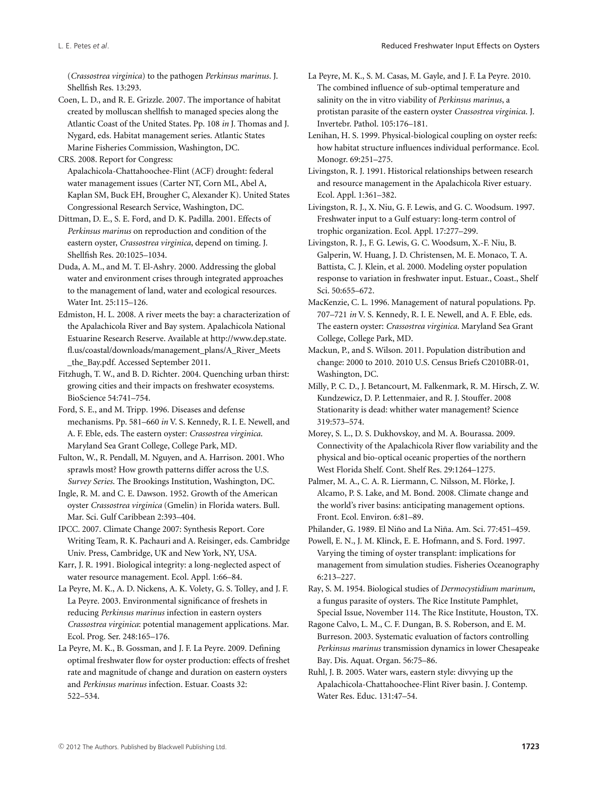(*Crassostrea virginica*) to the pathogen *Perkinsus marinus*. J. Shellfish Res. 13:293.

Coen, L. D., and R. E. Grizzle. 2007. The importance of habitat created by molluscan shellfish to managed species along the Atlantic Coast of the United States. Pp. 108 *in* J. Thomas and J. Nygard, eds. Habitat management series. Atlantic States Marine Fisheries Commission, Washington, DC.

CRS. 2008. Report for Congress:

Apalachicola-Chattahoochee-Flint (ACF) drought: federal water management issues (Carter NT, Corn ML, Abel A, Kaplan SM, Buck EH, Brougher C, Alexander K). United States Congressional Research Service, Washington, DC.

Dittman, D. E., S. E. Ford, and D. K. Padilla. 2001. Effects of *Perkinsus marinus* on reproduction and condition of the eastern oyster, *Crassostrea virginica*, depend on timing. J. Shellfish Res. 20:1025–1034.

Duda, A. M., and M. T. El-Ashry. 2000. Addressing the global water and environment crises through integrated approaches to the management of land, water and ecological resources. Water Int. 25:115–126.

Edmiston, H. L. 2008. A river meets the bay: a characterization of the Apalachicola River and Bay system. Apalachicola National Estuarine Research Reserve. Available at http://www.dep.state. fl.us/coastal/downloads/management\_plans/A\_River\_Meets \_the\_Bay.pdf. Accessed September 2011.

Fitzhugh, T. W., and B. D. Richter. 2004. Quenching urban thirst: growing cities and their impacts on freshwater ecosystems. BioScience 54:741–754.

Ford, S. E., and M. Tripp. 1996. Diseases and defense mechanisms. Pp. 581–660 *in* V. S. Kennedy, R. I. E. Newell, and A. F. Eble, eds. The eastern oyster: *Crassostrea virginica*. Maryland Sea Grant College, College Park, MD.

Fulton, W., R. Pendall, M. Nguyen, and A. Harrison. 2001. Who sprawls most? How growth patterns differ across the U.S. *Survey Series*. The Brookings Institution, Washington, DC.

Ingle, R. M. and C. E. Dawson. 1952. Growth of the American oyster *Crassostrea virginica* (Gmelin) in Florida waters. Bull. Mar. Sci. Gulf Caribbean 2:393–404.

IPCC. 2007. Climate Change 2007: Synthesis Report. Core Writing Team, R. K. Pachauri and A. Reisinger, eds. Cambridge Univ. Press, Cambridge, UK and New York, NY, USA.

Karr, J. R. 1991. Biological integrity: a long-neglected aspect of water resource management. Ecol. Appl. 1:66–84.

La Peyre, M. K., A. D. Nickens, A. K. Volety, G. S. Tolley, and J. F. La Peyre. 2003. Environmental significance of freshets in reducing *Perkinsus marinus* infection in eastern oysters *Crassostrea virginica*: potential management applications. Mar. Ecol. Prog. Ser. 248:165–176.

La Peyre, M. K., B. Gossman, and J. F. La Peyre. 2009. Defining optimal freshwater flow for oyster production: effects of freshet rate and magnitude of change and duration on eastern oysters and *Perkinsus marinus* infection. Estuar. Coasts 32: 522–534.

La Peyre, M. K., S. M. Casas, M. Gayle, and J. F. La Peyre. 2010. The combined influence of sub-optimal temperature and salinity on the in vitro viability of *Perkinsus marinus*, a protistan parasite of the eastern oyster *Crassostrea virginica*. J. Invertebr. Pathol. 105:176–181.

Lenihan, H. S. 1999. Physical-biological coupling on oyster reefs: how habitat structure influences individual performance. Ecol. Monogr. 69:251–275.

Livingston, R. J. 1991. Historical relationships between research and resource management in the Apalachicola River estuary. Ecol. Appl. 1:361–382.

Livingston, R. J., X. Niu, G. F. Lewis, and G. C. Woodsum. 1997. Freshwater input to a Gulf estuary: long-term control of trophic organization. Ecol. Appl. 17:277–299.

Livingston, R. J., F. G. Lewis, G. C. Woodsum, X.-F. Niu, B. Galperin, W. Huang, J. D. Christensen, M. E. Monaco, T. A. Battista, C. J. Klein, et al. 2000. Modeling oyster population response to variation in freshwater input. Estuar., Coast., Shelf Sci. 50:655–672.

MacKenzie, C. L. 1996. Management of natural populations. Pp. 707–721 *in* V. S. Kennedy, R. I. E. Newell, and A. F. Eble, eds. The eastern oyster: *Crassostrea virginica*. Maryland Sea Grant College, College Park, MD.

Mackun, P., and S. Wilson. 2011. Population distribution and change: 2000 to 2010. 2010 U.S. Census Briefs C2010BR-01, Washington, DC.

Milly, P. C. D., J. Betancourt, M. Falkenmark, R. M. Hirsch, Z. W. Kundzewicz, D. P. Lettenmaier, and R. J. Stouffer. 2008 Stationarity is dead: whither water management? Science 319:573–574.

Morey, S. L., D. S. Dukhovskoy, and M. A. Bourassa. 2009. Connectivity of the Apalachicola River flow variability and the physical and bio-optical oceanic properties of the northern West Florida Shelf. Cont. Shelf Res. 29:1264–1275.

Palmer, M. A., C. A. R. Liermann, C. Nilsson, M. Flörke, J. Alcamo, P. S. Lake, and M. Bond. 2008. Climate change and the world's river basins: anticipating management options. Front. Ecol. Environ. 6:81–89.

Philander, G. 1989. El Niño and La Niña. Am. Sci. 77:451–459.

Powell, E. N., J. M. Klinck, E. E. Hofmann, and S. Ford. 1997. Varying the timing of oyster transplant: implications for management from simulation studies. Fisheries Oceanography 6:213–227.

Ray, S. M. 1954. Biological studies of *Dermocystidium marinum*, a fungus parasite of oysters. The Rice Institute Pamphlet, Special Issue, November 114. The Rice Institute, Houston, TX.

Ragone Calvo, L. M., C. F. Dungan, B. S. Roberson, and E. M. Burreson. 2003. Systematic evaluation of factors controlling *Perkinsus marinus* transmission dynamics in lower Chesapeake Bay. Dis. Aquat. Organ. 56:75–86.

Ruhl, J. B. 2005. Water wars, eastern style: divvying up the Apalachicola-Chattahoochee-Flint River basin. J. Contemp. Water Res. Educ. 131:47–54.